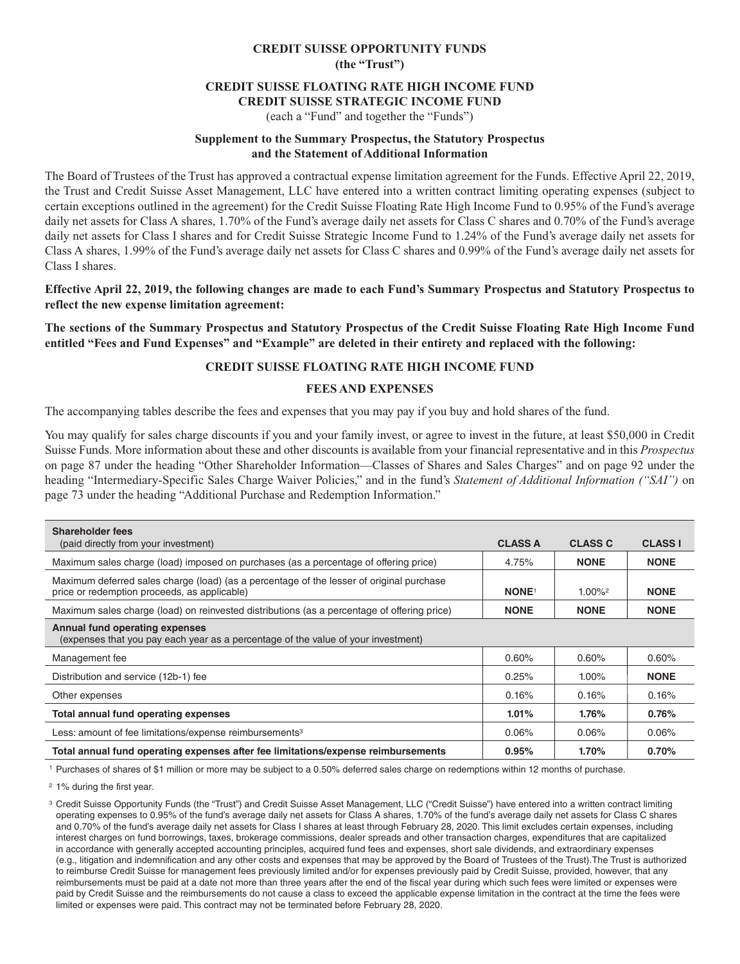## **CREDIT SUISSE OPPORTUNITY FUNDS (the "Trust")**

### **CREDIT SUISSE FLOATING RATE HIGH INCOME FUND CREDIT SUISSE STRATEGIC INCOME FUND**

# (each a "Fund" and together the "Funds")

### **Supplement to the Summary Prospectus, the Statutory Prospectus and the Statement of Additional Information**

The Board of Trustees of the Trust has approved a contractual expense limitation agreement for the Funds. Effective April 22, 2019, the Trust and Credit Suisse Asset Management, LLC have entered into a written contract limiting operating expenses (subject to certain exceptions outlined in the agreement) for the Credit Suisse Floating Rate High Income Fund to 0.95% of the Fund's average daily net assets for Class A shares, 1.70% of the Fund's average daily net assets for Class C shares and 0.70% of the Fund's average daily net assets for Class I shares and for Credit Suisse Strategic Income Fund to 1.24% of the Fund's average daily net assets for Class A shares, 1.99% of the Fund's average daily net assets for Class C shares and 0.99% of the Fund's average daily net assets for Class I shares.

### **Effective April 22, 2019, the following changes are made to each Fund's Summary Prospectus and Statutory Prospectus to reflect the new expense limitation agreement:**

**The sections of the Summary Prospectus and Statutory Prospectus of the Credit Suisse Floating Rate High Income Fund entitled "Fees and Fund Expenses" and "Example" are deleted in their entirety and replaced with the following:**

### **CREDIT SUISSE FLOATING RATE HIGH INCOME FUND**

### **FEES AND EXPENSES**

The accompanying tables describe the fees and expenses that you may pay if you buy and hold shares of the fund.

You may qualify for sales charge discounts if you and your family invest, or agree to invest in the future, at least \$50,000 in Credit Suisse Funds. More information about these and other discounts is available from your financial representative and in this *Prospectus* on page 87 under the heading "Other Shareholder Information—Classes of Shares and Sales Charges" and on page 92 under the heading "Intermediary-Specific Sales Charge Waiver Policies," and in the fund's *Statement of Additional Information ("SAI")* on page 73 under the heading "Additional Purchase and Redemption Information."

| <b>Shareholder fees</b><br>(paid directly from your investment)                                                                          | <b>CLASS A</b>          | <b>CLASS C</b>        | <b>CLASS I</b> |
|------------------------------------------------------------------------------------------------------------------------------------------|-------------------------|-----------------------|----------------|
| Maximum sales charge (load) imposed on purchases (as a percentage of offering price)                                                     | 4.75%                   | <b>NONE</b>           | <b>NONE</b>    |
| Maximum deferred sales charge (load) (as a percentage of the lesser of original purchase<br>price or redemption proceeds, as applicable) | <b>NONE<sup>1</sup></b> | $1.00\%$ <sup>2</sup> | <b>NONE</b>    |
| Maximum sales charge (load) on reinvested distributions (as a percentage of offering price)                                              | <b>NONE</b>             | <b>NONE</b>           | <b>NONE</b>    |
| Annual fund operating expenses<br>(expenses that you pay each year as a percentage of the value of your investment)                      |                         |                       |                |
| Management fee                                                                                                                           | 0.60%                   | 0.60%                 | $0.60\%$       |
| Distribution and service (12b-1) fee                                                                                                     | 0.25%                   | $1.00\%$              | <b>NONE</b>    |
| Other expenses                                                                                                                           | 0.16%                   | 0.16%                 | 0.16%          |
| Total annual fund operating expenses                                                                                                     | $1.01\%$                | 1.76%                 | $0.76\%$       |
| Less: amount of fee limitations/expense reimbursements <sup>3</sup>                                                                      | 0.06%                   | 0.06%                 | 0.06%          |
| Total annual fund operating expenses after fee limitations/expense reimbursements                                                        | 0.95%                   | 1.70%                 | 0.70%          |

1 Purchases of shares of \$1 million or more may be subject to a 0.50% deferred sales charge on redemptions within 12 months of purchase.

2 1% during the first year.

<sup>3</sup> Credit Suisse Opportunity Funds (the "Trust") and Credit Suisse Asset Management, LLC ("Credit Suisse") have entered into a written contract limiting operating expenses to 0.95% of the fund's average daily net assets for Class A shares, 1.70% of the fund's average daily net assets for Class C shares and 0.70% of the fund's average daily net assets for Class I shares at least through February 28, 2020. This limit excludes certain expenses, including interest charges on fund borrowings, taxes, brokerage commissions, dealer spreads and other transaction charges, expenditures that are capitalized in accordance with generally accepted accounting principles, acquired fund fees and expenses, short sale dividends, and extraordinary expenses (e.g., litigation and indemnification and any other costs and expenses that may be approved by the Board of Trustees of the Trust).The Trust is authorized to reimburse Credit Suisse for management fees previously limited and/or for expenses previously paid by Credit Suisse, provided, however, that any reimbursements must be paid at a date not more than three years after the end of the fiscal year during which such fees were limited or expenses were paid by Credit Suisse and the reimbursements do not cause a class to exceed the applicable expense limitation in the contract at the time the fees were limited or expenses were paid. This contract may not be terminated before February 28, 2020.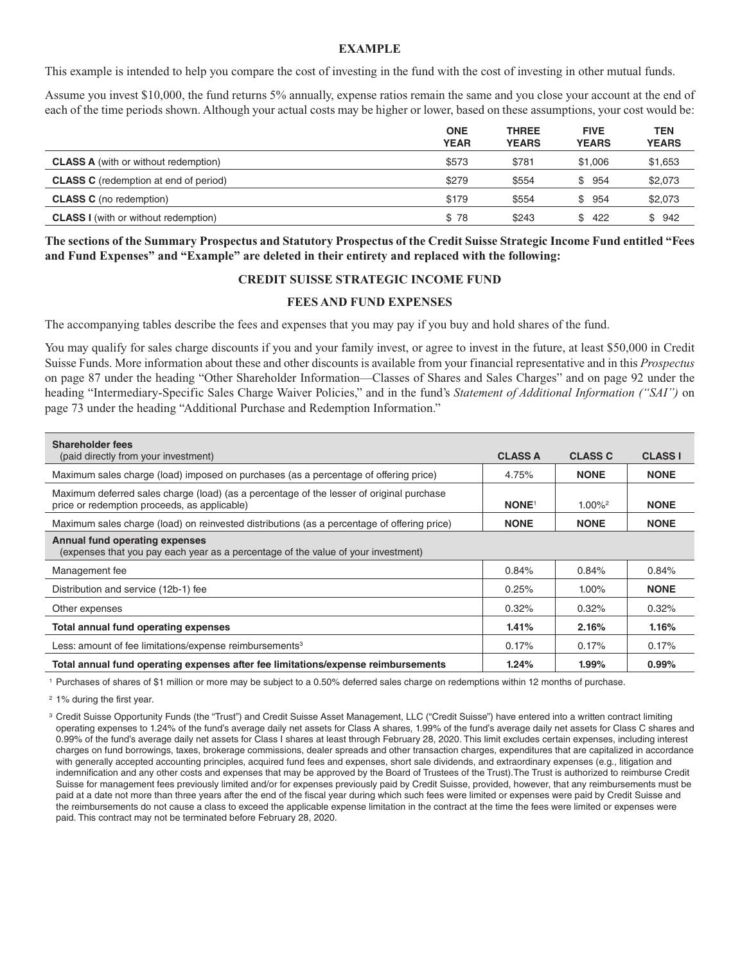#### **EXAMPLE**

This example is intended to help you compare the cost of investing in the fund with the cost of investing in other mutual funds.

Assume you invest \$10,000, the fund returns 5% annually, expense ratios remain the same and you close your account at the end of each of the time periods shown. Although your actual costs may be higher or lower, based on these assumptions, your cost would be:

|                                              | <b>ONE</b><br><b>YEAR</b> | <b>THREE</b><br><b>YEARS</b> | <b>FIVE</b><br><b>YEARS</b> | <b>TEN</b><br><b>YEARS</b> |
|----------------------------------------------|---------------------------|------------------------------|-----------------------------|----------------------------|
| <b>CLASS A</b> (with or without redemption)  | \$573                     | \$781                        | \$1.006                     | \$1,653                    |
| <b>CLASS C</b> (redemption at end of period) | \$279                     | \$554                        | \$954                       | \$2,073                    |
| <b>CLASS C</b> (no redemption)               | \$179                     | \$554                        | \$954                       | \$2,073                    |
| <b>CLASS I</b> (with or without redemption)  | \$78                      | \$243                        | \$422                       | \$942                      |

**The sections of the Summary Prospectus and Statutory Prospectus of the Credit Suisse Strategic Income Fund entitled "Fees and Fund Expenses" and "Example" are deleted in their entirety and replaced with the following:**

#### **CREDIT SUISSE STRATEGIC INCOME FUND**

#### **FEES AND FUND EXPENSES**

The accompanying tables describe the fees and expenses that you may pay if you buy and hold shares of the fund.

You may qualify for sales charge discounts if you and your family invest, or agree to invest in the future, at least \$50,000 in Credit Suisse Funds. More information about these and other discounts is available from your financial representative and in this *Prospectus* on page 87 under the heading "Other Shareholder Information—Classes of Shares and Sales Charges" and on page 92 under the heading "Intermediary-Specific Sales Charge Waiver Policies," and in the fund's *Statement of Additional Information ("SAI")* on page 73 under the heading "Additional Purchase and Redemption Information."

| <b>Shareholder fees</b><br>(paid directly from your investment)                                                                          | <b>CLASS A</b> | <b>CLASS C</b>     | <b>CLASS I</b> |
|------------------------------------------------------------------------------------------------------------------------------------------|----------------|--------------------|----------------|
| Maximum sales charge (load) imposed on purchases (as a percentage of offering price)                                                     | 4.75%          | <b>NONE</b>        | <b>NONE</b>    |
| Maximum deferred sales charge (load) (as a percentage of the lesser of original purchase<br>price or redemption proceeds, as applicable) | <b>NONE1</b>   | 1.00% <sup>2</sup> | <b>NONE</b>    |
| Maximum sales charge (load) on reinvested distributions (as a percentage of offering price)                                              | <b>NONE</b>    | <b>NONE</b>        | <b>NONE</b>    |
| Annual fund operating expenses<br>(expenses that you pay each year as a percentage of the value of your investment)                      |                |                    |                |
| Management fee                                                                                                                           | 0.84%          | 0.84%              | 0.84%          |
| Distribution and service (12b-1) fee                                                                                                     | 0.25%          | $1.00\%$           | <b>NONE</b>    |
| Other expenses                                                                                                                           | 0.32%          | 0.32%              | 0.32%          |
| Total annual fund operating expenses                                                                                                     | 1.41%          | 2.16%              | 1.16%          |
| Less: amount of fee limitations/expense reimbursements <sup>3</sup>                                                                      | 0.17%          | 0.17%              | 0.17%          |
| Total annual fund operating expenses after fee limitations/expense reimbursements                                                        | 1.24%          | 1.99%              | $0.99\%$       |

1 Purchases of shares of \$1 million or more may be subject to a 0.50% deferred sales charge on redemptions within 12 months of purchase.

2 1% during the first year.

<sup>3</sup> Credit Suisse Opportunity Funds (the "Trust") and Credit Suisse Asset Management, LLC ("Credit Suisse") have entered into a written contract limiting operating expenses to 1.24% of the fund's average daily net assets for Class A shares, 1.99% of the fund's average daily net assets for Class C shares and 0.99% of the fund's average daily net assets for Class I shares at least through February 28, 2020. This limit excludes certain expenses, including interest charges on fund borrowings, taxes, brokerage commissions, dealer spreads and other transaction charges, expenditures that are capitalized in accordance with generally accepted accounting principles, acquired fund fees and expenses, short sale dividends, and extraordinary expenses (e.g., litigation and indemnification and any other costs and expenses that may be approved by the Board of Trustees of the Trust).The Trust is authorized to reimburse Credit Suisse for management fees previously limited and/or for expenses previously paid by Credit Suisse, provided, however, that any reimbursements must be paid at a date not more than three years after the end of the fiscal year during which such fees were limited or expenses were paid by Credit Suisse and the reimbursements do not cause a class to exceed the applicable expense limitation in the contract at the time the fees were limited or expenses were paid. This contract may not be terminated before February 28, 2020.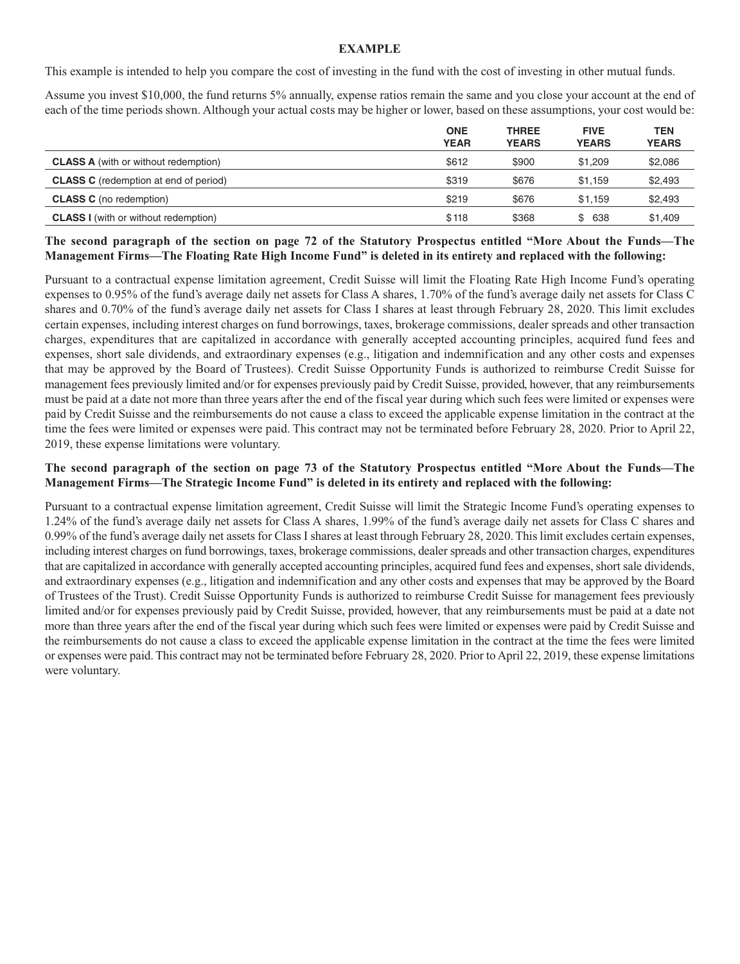### **EXAMPLE**

This example is intended to help you compare the cost of investing in the fund with the cost of investing in other mutual funds.

Assume you invest \$10,000, the fund returns 5% annually, expense ratios remain the same and you close your account at the end of each of the time periods shown. Although your actual costs may be higher or lower, based on these assumptions, your cost would be:

|                                              | <b>ONE</b><br><b>YEAR</b> | <b>THREE</b><br><b>YEARS</b> | <b>FIVE</b><br><b>YEARS</b> | <b>TEN</b><br><b>YEARS</b> |
|----------------------------------------------|---------------------------|------------------------------|-----------------------------|----------------------------|
| <b>CLASS A</b> (with or without redemption)  | \$612                     | \$900                        | \$1.209                     | \$2,086                    |
| <b>CLASS C</b> (redemption at end of period) | \$319                     | \$676                        | \$1.159                     | \$2,493                    |
| <b>CLASS C</b> (no redemption)               | \$219                     | \$676                        | \$1.159                     | \$2,493                    |
| <b>CLASS I</b> (with or without redemption)  | \$118                     | \$368                        | \$ 638                      | \$1.409                    |

**The second paragraph of the section on page 72 of the Statutory Prospectus entitled "More About the Funds—The Management Firms—The Floating Rate High Income Fund" is deleted in its entirety and replaced with the following:**

Pursuant to a contractual expense limitation agreement, Credit Suisse will limit the Floating Rate High Income Fund's operating expenses to 0.95% of the fund's average daily net assets for Class A shares, 1.70% of the fund's average daily net assets for Class C shares and 0.70% of the fund's average daily net assets for Class I shares at least through February 28, 2020. This limit excludes certain expenses, including interest charges on fund borrowings, taxes, brokerage commissions, dealer spreads and other transaction charges, expenditures that are capitalized in accordance with generally accepted accounting principles, acquired fund fees and expenses, short sale dividends, and extraordinary expenses (e.g., litigation and indemnification and any other costs and expenses that may be approved by the Board of Trustees). Credit Suisse Opportunity Funds is authorized to reimburse Credit Suisse for management fees previously limited and/or for expenses previously paid by Credit Suisse, provided, however, that any reimbursements must be paid at a date not more than three years after the end of the fiscal year during which such fees were limited or expenses were paid by Credit Suisse and the reimbursements do not cause a class to exceed the applicable expense limitation in the contract at the time the fees were limited or expenses were paid. This contract may not be terminated before February 28, 2020. Prior to April 22, 2019, these expense limitations were voluntary.

### **The second paragraph of the section on page 73 of the Statutory Prospectus entitled "More About the Funds—The Management Firms—The Strategic Income Fund" is deleted in its entirety and replaced with the following:**

Pursuant to a contractual expense limitation agreement, Credit Suisse will limit the Strategic Income Fund's operating expenses to 1.24% of the fund's average daily net assets for Class A shares, 1.99% of the fund's average daily net assets for Class C shares and 0.99% of the fund's average daily net assets for Class I shares at least through February 28, 2020. This limit excludes certain expenses, including interest charges on fund borrowings, taxes, brokerage commissions, dealer spreads and other transaction charges, expenditures that are capitalized in accordance with generally accepted accounting principles, acquired fund fees and expenses, short sale dividends, and extraordinary expenses (e.g., litigation and indemnification and any other costs and expenses that may be approved by the Board of Trustees of the Trust). Credit Suisse Opportunity Funds is authorized to reimburse Credit Suisse for management fees previously limited and/or for expenses previously paid by Credit Suisse, provided, however, that any reimbursements must be paid at a date not more than three years after the end of the fiscal year during which such fees were limited or expenses were paid by Credit Suisse and the reimbursements do not cause a class to exceed the applicable expense limitation in the contract at the time the fees were limited or expenses were paid. This contract may not be terminated before February 28, 2020. Prior to April 22, 2019, these expense limitations were voluntary.